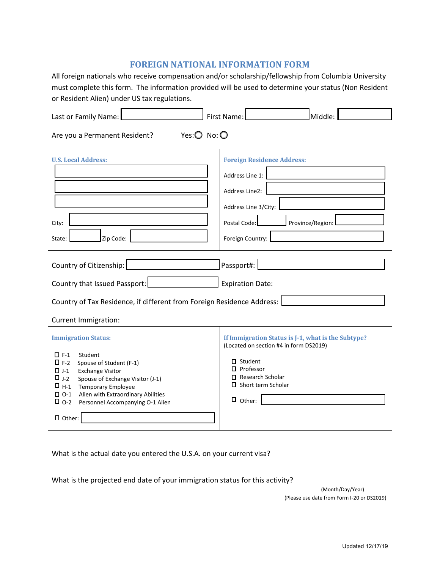# **FOREIGN NATIONAL INFORMATION FORM**

All foreign nationals who receive compensation and/or scholarship/fellowship from Columbia University must complete this form. The information provided will be used to determine your status (Non Resident or Resident Alien) under US tax regulations.

| Last or Family Name:                                                                                                                                                                                                                                                                                                                                       | First Name:<br>Middle:                                                                                                                                                                                         |
|------------------------------------------------------------------------------------------------------------------------------------------------------------------------------------------------------------------------------------------------------------------------------------------------------------------------------------------------------------|----------------------------------------------------------------------------------------------------------------------------------------------------------------------------------------------------------------|
| Yes: $\bigcirc$ No: $\bigcirc$<br>Are you a Permanent Resident?                                                                                                                                                                                                                                                                                            |                                                                                                                                                                                                                |
| <b>U.S. Local Address:</b><br>City:<br>Zip Code:<br>State:                                                                                                                                                                                                                                                                                                 | <b>Foreign Residence Address:</b><br>Address Line 1:<br>Address Line2:<br>Address Line 3/City:<br>Postal Code:<br>Province/Region:<br>Foreign Country:                                                         |
| Country of Citizenship:                                                                                                                                                                                                                                                                                                                                    | Passport#:                                                                                                                                                                                                     |
| Country that Issued Passport:                                                                                                                                                                                                                                                                                                                              | <b>Expiration Date:</b>                                                                                                                                                                                        |
| Country of Tax Residence, if different from Foreign Residence Address:                                                                                                                                                                                                                                                                                     |                                                                                                                                                                                                                |
| <b>Current Immigration:</b>                                                                                                                                                                                                                                                                                                                                |                                                                                                                                                                                                                |
| <b>Immigration Status:</b><br>$\square$ F-1<br>Student<br>$\square$ F-2<br>Spouse of Student (F-1)<br>$\Box$ J-1<br><b>Exchange Visitor</b><br>$\square$ J-2<br>Spouse of Exchange Visitor (J-1)<br>$\square$ H-1<br><b>Temporary Employee</b><br>$\square$ 0-1<br>Alien with Extraordinary Abilities<br>$\square$ 0-2<br>Personnel Accompanying O-1 Alien | If Immigration Status is J-1, what is the Subtype?<br>(Located on section #4 in form DS2019)<br>$\Box$ Student<br>$\square$ Professor<br>$\Box$ Research Scholar<br>$\Box$ Short term Scholar<br>$\Box$ Other: |
| $\Box$ Other:                                                                                                                                                                                                                                                                                                                                              |                                                                                                                                                                                                                |

What is the actual date you entered the U.S.A. on your current visa?

What is the projected end date of your immigration status for this activity?

(Month/Day/Year) (Please use date from Form I-20 or DS2019)